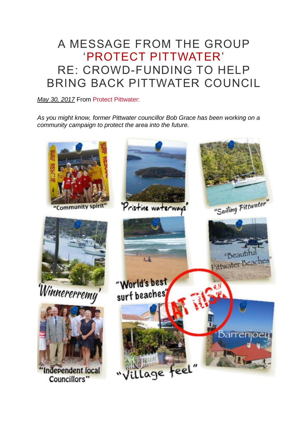## A MESSAGE FROM THE GROUP 'PROTECT PITTWATER' RE: CROWD-FUNDING TO HELP BRING BACK PITTWATER COUNCIL

## *May 30, [2017](https://pittwaterforever.wordpress.com/2017/05/30/a-message-from-the-group-protect-pittwater-re-crowd-funding-to-help-bring-back-pittwater-council/)* From Protect [Pittwater:](https://www.facebook.com/groups/protectp/)

*As you might know, former Pittwater councillor Bob Grace has been working on a community campaign to protect the area into the future.*